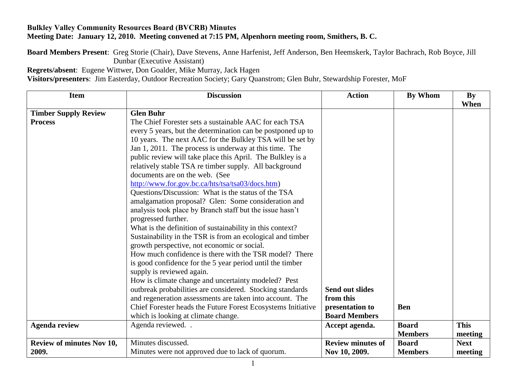## **Bulkley Valley Community Resources Board (BVCRB) Minutes Meeting Date: January 12, 2010. Meeting convened at 7:15 PM, Alpenhorn meeting room, Smithers, B. C.**

**Board Members Present**: Greg Storie (Chair), Dave Stevens, Anne Harfenist, Jeff Anderson, Ben Heemskerk, Taylor Bachrach, Rob Boyce, Jill Dunbar (Executive Assistant)

**Regrets/absent**: Eugene Wittwer, Don Goalder, Mike Murray, Jack Hagen

**Visitors/presenters**: Jim Easterday, Outdoor Recreation Society; Gary Quanstrom; Glen Buhr, Stewardship Forester, MoF

| <b>Item</b>                      | <b>Discussion</b>                                            | <b>Action</b>            | By Whom        | By<br>When  |
|----------------------------------|--------------------------------------------------------------|--------------------------|----------------|-------------|
| <b>Timber Supply Review</b>      | <b>Glen Buhr</b>                                             |                          |                |             |
| <b>Process</b>                   | The Chief Forester sets a sustainable AAC for each TSA       |                          |                |             |
|                                  | every 5 years, but the determination can be postponed up to  |                          |                |             |
|                                  | 10 years. The next AAC for the Bulkley TSA will be set by    |                          |                |             |
|                                  | Jan 1, 2011. The process is underway at this time. The       |                          |                |             |
|                                  | public review will take place this April. The Bulkley is a   |                          |                |             |
|                                  | relatively stable TSA re timber supply. All background       |                          |                |             |
|                                  | documents are on the web. (See                               |                          |                |             |
|                                  | http://www.for.gov.bc.ca/hts/tsa/tsa03/docs.htm)             |                          |                |             |
|                                  | Questions/Discussion: What is the status of the TSA          |                          |                |             |
|                                  | amalgamation proposal? Glen: Some consideration and          |                          |                |             |
|                                  | analysis took place by Branch staff but the issue hasn't     |                          |                |             |
|                                  | progressed further.                                          |                          |                |             |
|                                  | What is the definition of sustainability in this context?    |                          |                |             |
|                                  | Sustainability in the TSR is from an ecological and timber   |                          |                |             |
|                                  | growth perspective, not economic or social.                  |                          |                |             |
|                                  | How much confidence is there with the TSR model? There       |                          |                |             |
|                                  | is good confidence for the 5 year period until the timber    |                          |                |             |
|                                  | supply is reviewed again.                                    |                          |                |             |
|                                  | How is climate change and uncertainty modeled? Pest          |                          |                |             |
|                                  | outbreak probabilities are considered. Stocking standards    | Send out slides          |                |             |
|                                  | and regeneration assessments are taken into account. The     | from this                |                |             |
|                                  | Chief Forester heads the Future Forest Ecosystems Initiative | presentation to          | <b>Ben</b>     |             |
|                                  | which is looking at climate change.                          | <b>Board Members</b>     |                |             |
| <b>Agenda review</b>             | Agenda reviewed                                              | Accept agenda.           | <b>Board</b>   | <b>This</b> |
|                                  |                                                              |                          | <b>Members</b> | meeting     |
| <b>Review of minutes Nov 10,</b> | Minutes discussed.                                           | <b>Review minutes of</b> | <b>Board</b>   | <b>Next</b> |
| 2009.                            | Minutes were not approved due to lack of quorum.             | Nov 10, 2009.            | <b>Members</b> | meeting     |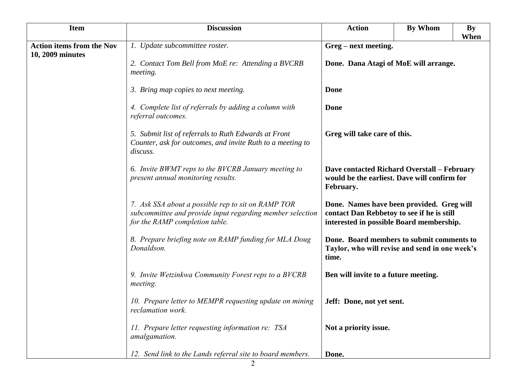| <b>Item</b>                      | <b>Discussion</b>                                                                                                                                 | <b>Action</b>                                                                                                                       | <b>By Whom</b> | <b>By</b><br>When |
|----------------------------------|---------------------------------------------------------------------------------------------------------------------------------------------------|-------------------------------------------------------------------------------------------------------------------------------------|----------------|-------------------|
| <b>Action items from the Nov</b> | 1. Update subcommittee roster.                                                                                                                    | Greg – next meeting.                                                                                                                |                |                   |
| 10, 2009 minutes                 | 2. Contact Tom Bell from MoE re: Attending a BVCRB<br>meeting.                                                                                    | Done. Dana Atagi of MoE will arrange.                                                                                               |                |                   |
|                                  | 3. Bring map copies to next meeting.                                                                                                              | Done                                                                                                                                |                |                   |
|                                  | 4. Complete list of referrals by adding a column with<br>referral outcomes.                                                                       | Done                                                                                                                                |                |                   |
|                                  | 5. Submit list of referrals to Ruth Edwards at Front<br>Counter, ask for outcomes, and invite Ruth to a meeting to<br>discuss.                    | Greg will take care of this.                                                                                                        |                |                   |
|                                  | 6. Invite BWMT reps to the BVCRB January meeting to<br>present annual monitoring results.                                                         | <b>Dave contacted Richard Overstall – February</b><br>would be the earliest. Dave will confirm for<br>February.                     |                |                   |
|                                  | 7. Ask SSA about a possible rep to sit on RAMP TOR<br>subcommittee and provide input regarding member selection<br>for the RAMP completion table. | Done. Names have been provided. Greg will<br>contact Dan Rebbetoy to see if he is still<br>interested in possible Board membership. |                |                   |
|                                  | 8. Prepare briefing note on RAMP funding for MLA Doug<br>Donaldson.                                                                               | Done. Board members to submit comments to<br>Taylor, who will revise and send in one week's<br>time.                                |                |                   |
|                                  | 9. Invite Wetzinkwa Community Forest reps to a BVCRB<br>meeting.                                                                                  | Ben will invite to a future meeting.                                                                                                |                |                   |
|                                  | 10. Prepare letter to MEMPR requesting update on mining<br>reclamation work.                                                                      | Jeff: Done, not yet sent.                                                                                                           |                |                   |
|                                  | 11. Prepare letter requesting information re: TSA<br>amalgamation.                                                                                | Not a priority issue.                                                                                                               |                |                   |
|                                  | 12. Send link to the Lands referral site to board members.                                                                                        | Done.                                                                                                                               |                |                   |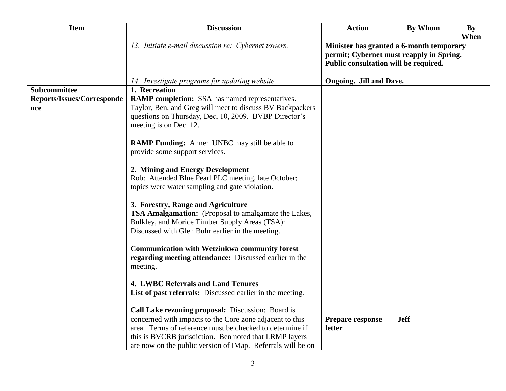| <b>Item</b>                                                     | <b>Discussion</b>                                                                                                                                                                                                                                                                                  | <b>Action</b>                                                                                                                 | <b>By Whom</b> | <b>By</b><br>When |
|-----------------------------------------------------------------|----------------------------------------------------------------------------------------------------------------------------------------------------------------------------------------------------------------------------------------------------------------------------------------------------|-------------------------------------------------------------------------------------------------------------------------------|----------------|-------------------|
|                                                                 | 13. Initiate e-mail discussion re: $C$ ybernet towers.                                                                                                                                                                                                                                             | Minister has granted a 6-month temporary<br>permit; Cybernet must reapply in Spring.<br>Public consultation will be required. |                |                   |
|                                                                 | 14. Investigate programs for updating website.                                                                                                                                                                                                                                                     | <b>Ongoing.</b> Jill and Dave.                                                                                                |                |                   |
| <b>Subcommittee</b><br><b>Reports/Issues/Corresponde</b><br>nce | 1. Recreation<br><b>RAMP completion:</b> SSA has named representatives.<br>Taylor, Ben, and Greg will meet to discuss BV Backpackers<br>questions on Thursday, Dec, 10, 2009. BVBP Director's                                                                                                      |                                                                                                                               |                |                   |
|                                                                 | meeting is on Dec. 12.                                                                                                                                                                                                                                                                             |                                                                                                                               |                |                   |
|                                                                 | <b>RAMP Funding:</b> Anne: UNBC may still be able to<br>provide some support services.                                                                                                                                                                                                             |                                                                                                                               |                |                   |
|                                                                 | 2. Mining and Energy Development<br>Rob: Attended Blue Pearl PLC meeting, late October;<br>topics were water sampling and gate violation.                                                                                                                                                          |                                                                                                                               |                |                   |
|                                                                 | 3. Forestry, Range and Agriculture<br>TSA Amalgamation: (Proposal to amalgamate the Lakes,<br>Bulkley, and Morice Timber Supply Areas (TSA):<br>Discussed with Glen Buhr earlier in the meeting.                                                                                                   |                                                                                                                               |                |                   |
|                                                                 | <b>Communication with Wetzinkwa community forest</b><br>regarding meeting attendance: Discussed earlier in the<br>meeting.                                                                                                                                                                         |                                                                                                                               |                |                   |
|                                                                 | 4. LWBC Referrals and Land Tenures<br>List of past referrals: Discussed earlier in the meeting.                                                                                                                                                                                                    |                                                                                                                               |                |                   |
|                                                                 | Call Lake rezoning proposal: Discussion: Board is<br>concerned with impacts to the Core zone adjacent to this<br>area. Terms of reference must be checked to determine if<br>this is BVCRB jurisdiction. Ben noted that LRMP layers<br>are now on the public version of IMap. Referrals will be on | Prepare response<br>letter                                                                                                    | <b>Jeff</b>    |                   |